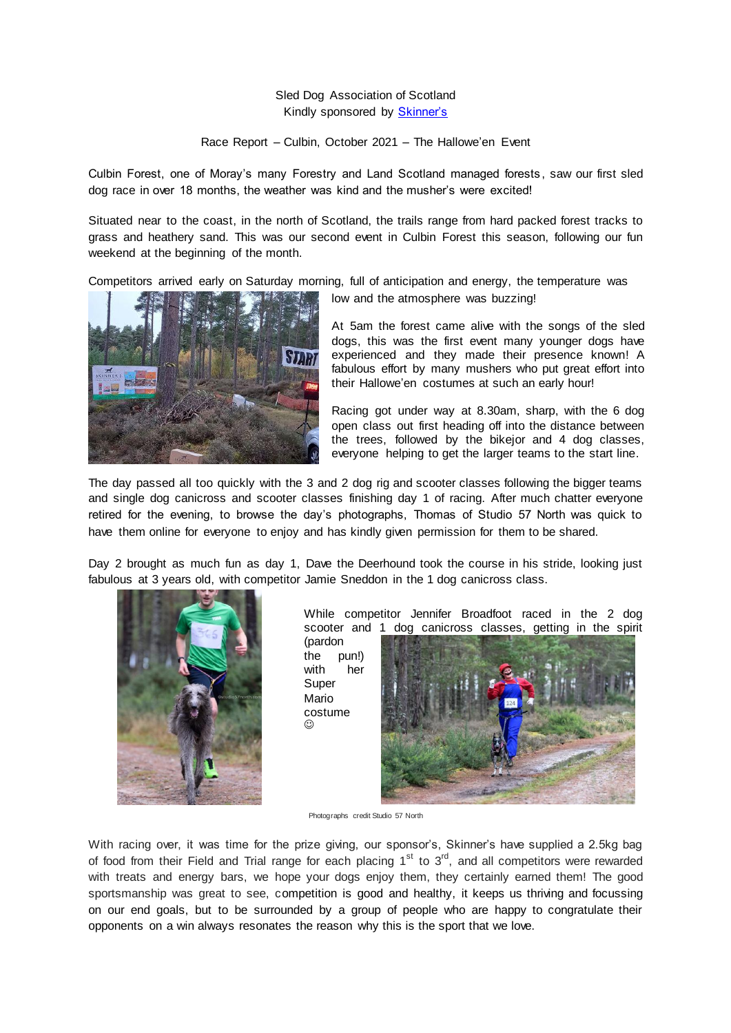## Sled Dog Association of Scotland Kindly sponsored by **Skinner's**

Race Report – Culbin, October 2021 – The Hallowe'en Event

Culbin Forest, one of Moray's many Forestry and Land Scotland managed forests , saw our first sled dog race in over 18 months, the weather was kind and the musher's were excited!

Situated near to the coast, in the north of Scotland, the trails range from hard packed forest tracks to grass and heathery sand. This was our second event in Culbin Forest this season, following our fun weekend at the beginning of the month.

Competitors arrived early on Saturday morning, full of anticipation and energy, the temperature was



low and the atmosphere was buzzing!

At 5am the forest came alive with the songs of the sled dogs, this was the first event many younger dogs have experienced and they made their presence known! A fabulous effort by many mushers who put great effort into their Hallowe'en costumes at such an early hour!

Racing got under way at 8.30am, sharp, with the 6 dog open class out first heading off into the distance between the trees, followed by the bikejor and 4 dog classes, everyone helping to get the larger teams to the start line.

The day passed all too quickly with the 3 and 2 dog rig and scooter classes following the bigger teams and single dog canicross and scooter classes finishing day 1 of racing. After much chatter everyone retired for the evening, to browse the day's photographs, Thomas of Studio 57 North was quick to have them online for everyone to enjoy and has kindly given permission for them to be shared.

Day 2 brought as much fun as day 1, Dave the Deerhound took the course in his stride, looking just fabulous at 3 years old, with competitor Jamie Sneddon in the 1 dog canicross class.



While competitor Jennifer Broadfoot raced in the 2 dog scooter and 1 dog canicross classes, getting in the spirit

(pardon the pun!) with her Super Mario costume ⊙



Photographs credit Studio 57 North

With racing over, it was time for the prize giving, our sponsor's, Skinner's have supplied a 2.5kg bag of food from their Field and Trial range for each placing 1<sup>st</sup> to 3<sup>rd</sup>, and all competitors were rewarded with treats and energy bars, we hope your dogs enjoy them, they certainly earned them! The good sportsmanship was great to see, competition is good and healthy, it keeps us thriving and focussing on our end goals, but to be surrounded by a group of people who are happy to congratulate their opponents on a win always resonates the reason why this is the sport that we love.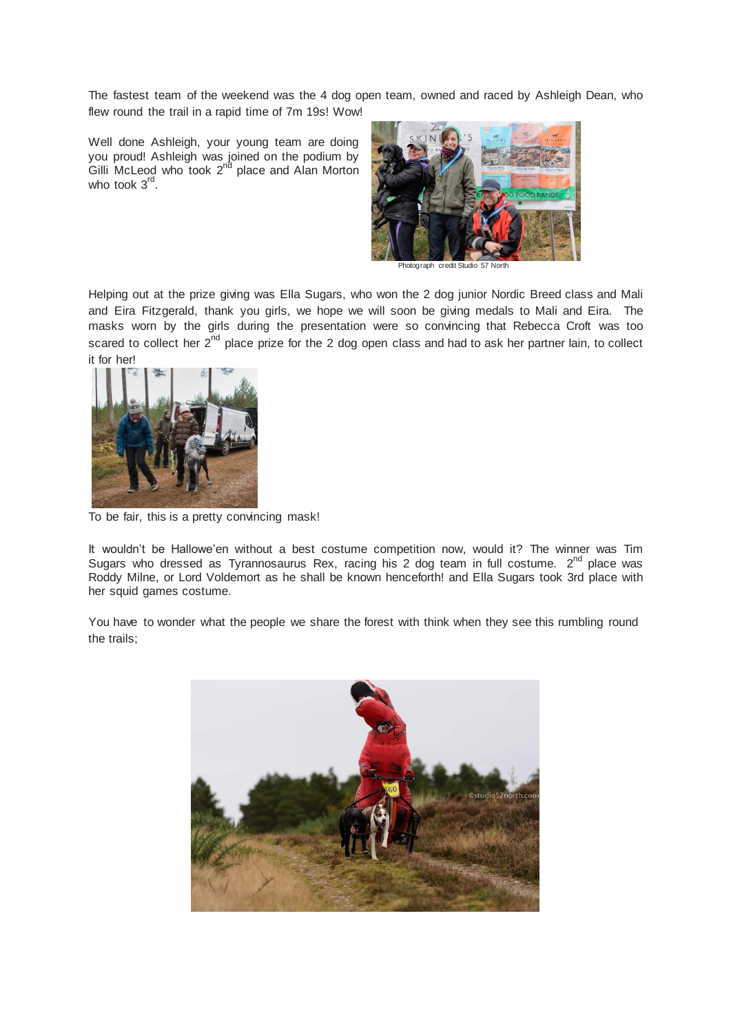The fastest team of the weekend was the 4 dog open team, owned and raced by Ashleigh Dean, who flew round the trail in a rapid time of 7m 19s! Wow!

Well done Ashleigh, your young team are doing you proud! Ashleigh was joined on the podium by Gilli McLeod who took  $2<sup>nd</sup>$  place and Alan Morton who took 3<sup>rd</sup>.



Photograph credit Studio 57 North

Helping out at the prize giving was Ella Sugars, who won the 2 dog junior Nordic Breed class and Mali and Eira Fitzgerald, thank you girls, we hope we will soon be giving medals to Mali and Eira. The masks worn by the girls during the presentation were so convincing that Rebecca Croft was too scared to collect her  $2^{nd}$  place prize for the 2 dog open class and had to ask her partner lain, to collect it for her!



To be fair, this is a pretty convincing mask!

It wouldn't be Hallowe'en without a best costume competition now, would it? The winner was Tim Sugars who dressed as Tyrannosaurus Rex, racing his 2 dog team in full costume.  $2^{nd}$  place was Roddy Milne, or Lord Voldemort as he shall be known henceforth! and Ella Sugars took 3rd place with her squid games costume.

You have to wonder what the people we share the forest with think when they see this rumbling round the trails;